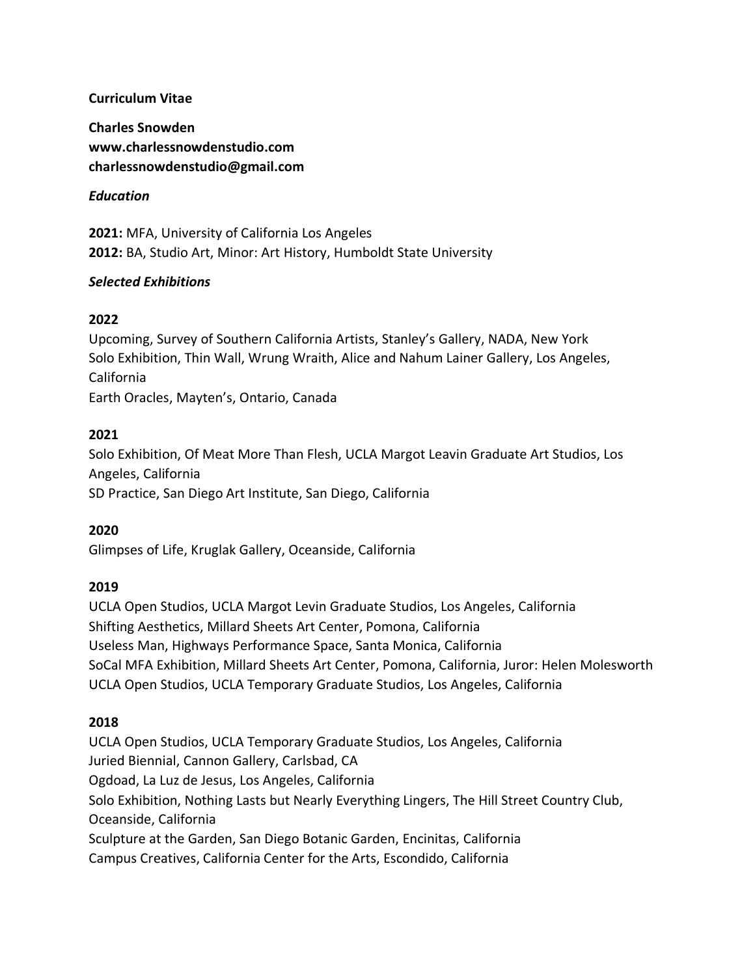### **Curriculum Vitae**

**Charles Snowden www.charlessnowdenstudio.com [charlessnowdenstudio@gmail.com](mailto:charlessnowdenstudio@gmail.com)**

### *Education*

**2021:** MFA, University of California Los Angeles **2012:** BA, Studio Art, Minor: Art History, Humboldt State University

### *Selected Exhibitions*

### **2022**

Upcoming, Survey of Southern California Artists, Stanley's Gallery, NADA, New York Solo Exhibition, Thin Wall, Wrung Wraith, Alice and Nahum Lainer Gallery, Los Angeles, California Earth Oracles, Mayten's, Ontario, Canada

### **2021**

Solo Exhibition, Of Meat More Than Flesh, UCLA Margot Leavin Graduate Art Studios, Los Angeles, California SD Practice, San Diego Art Institute, San Diego, California

## **2020**

Glimpses of Life, Kruglak Gallery, Oceanside, California

## **2019**

UCLA Open Studios, UCLA Margot Levin Graduate Studios, Los Angeles, California Shifting Aesthetics, Millard Sheets Art Center, Pomona, California Useless Man, Highways Performance Space, Santa Monica, California SoCal MFA Exhibition, Millard Sheets Art Center, Pomona, California, Juror: Helen Molesworth UCLA Open Studios, UCLA Temporary Graduate Studios, Los Angeles, California

## **2018**

UCLA Open Studios, UCLA Temporary Graduate Studios, Los Angeles, California Juried Biennial, Cannon Gallery, Carlsbad, CA Ogdoad, La Luz de Jesus, Los Angeles, California Solo Exhibition, Nothing Lasts but Nearly Everything Lingers, The Hill Street Country Club, Oceanside, California Sculpture at the Garden, San Diego Botanic Garden, Encinitas, California Campus Creatives, California Center for the Arts, Escondido, California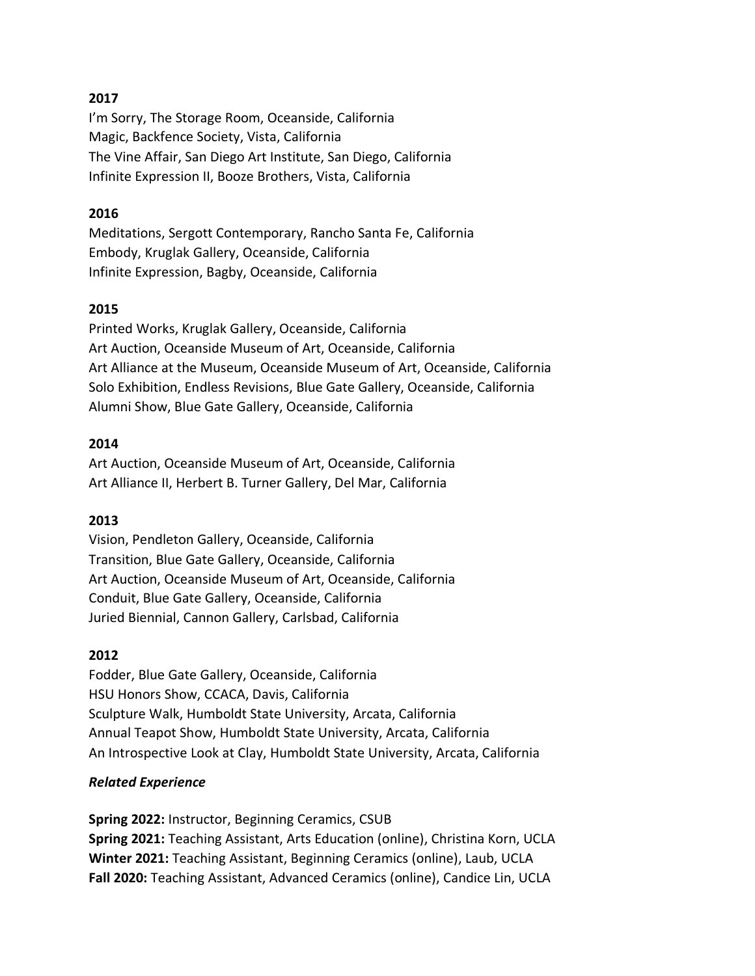### **2017**

I'm Sorry, The Storage Room, Oceanside, California Magic, Backfence Society, Vista, California The Vine Affair, San Diego Art Institute, San Diego, California Infinite Expression II, Booze Brothers, Vista, California

#### **2016**

Meditations, Sergott Contemporary, Rancho Santa Fe, California Embody, Kruglak Gallery, Oceanside, California Infinite Expression, Bagby, Oceanside, California

#### **2015**

Printed Works, Kruglak Gallery, Oceanside, California Art Auction, Oceanside Museum of Art, Oceanside, California Art Alliance at the Museum, Oceanside Museum of Art, Oceanside, California Solo Exhibition, Endless Revisions, Blue Gate Gallery, Oceanside, California Alumni Show, Blue Gate Gallery, Oceanside, California

#### **2014**

Art Auction, Oceanside Museum of Art, Oceanside, California Art Alliance II, Herbert B. Turner Gallery, Del Mar, California

#### **2013**

Vision, Pendleton Gallery, Oceanside, California Transition, Blue Gate Gallery, Oceanside, California Art Auction, Oceanside Museum of Art, Oceanside, California Conduit, Blue Gate Gallery, Oceanside, California Juried Biennial, Cannon Gallery, Carlsbad, California

#### **2012**

Fodder, Blue Gate Gallery, Oceanside, California HSU Honors Show, CCACA, Davis, California Sculpture Walk, Humboldt State University, Arcata, California Annual Teapot Show, Humboldt State University, Arcata, California An Introspective Look at Clay, Humboldt State University, Arcata, California

#### *Related Experience*

**Spring 2022:** Instructor, Beginning Ceramics, CSUB **Spring 2021:** Teaching Assistant, Arts Education (online), Christina Korn, UCLA **Winter 2021:** Teaching Assistant, Beginning Ceramics (online), Laub, UCLA **Fall 2020:** Teaching Assistant, Advanced Ceramics (online), Candice Lin, UCLA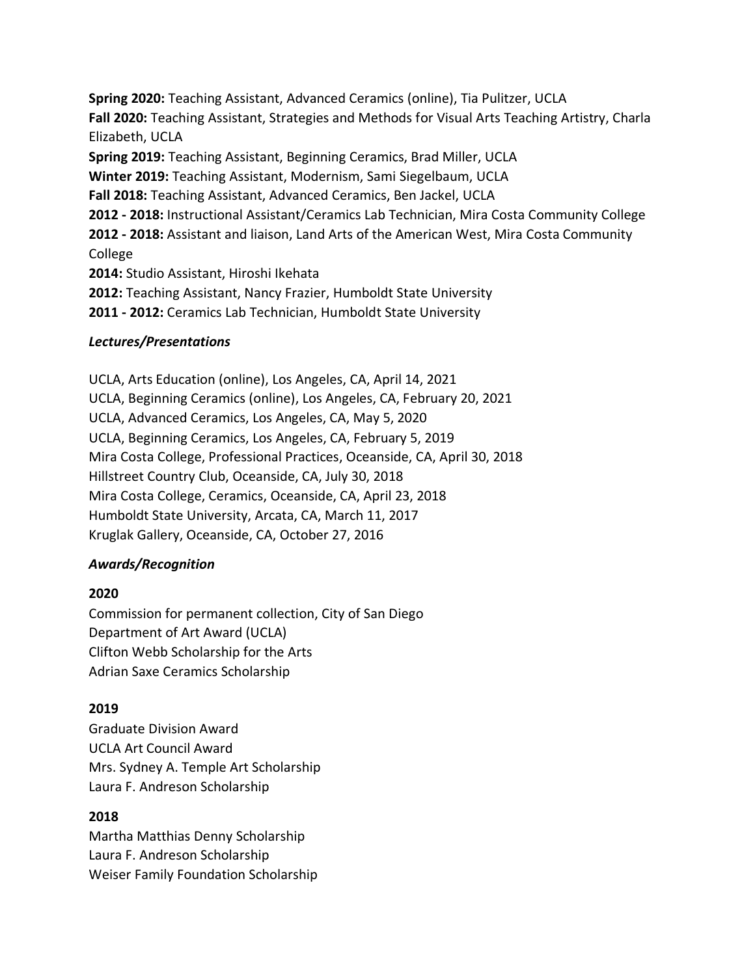**Spring 2020:** Teaching Assistant, Advanced Ceramics (online), Tia Pulitzer, UCLA **Fall 2020:** Teaching Assistant, Strategies and Methods for Visual Arts Teaching Artistry, Charla Elizabeth, UCLA **Spring 2019:** Teaching Assistant, Beginning Ceramics, Brad Miller, UCLA

**Winter 2019:** Teaching Assistant, Modernism, Sami Siegelbaum, UCLA

**Fall 2018:** Teaching Assistant, Advanced Ceramics, Ben Jackel, UCLA

**2012 - 2018:** Instructional Assistant/Ceramics Lab Technician, Mira Costa Community College

**2012 - 2018:** Assistant and liaison, Land Arts of the American West, Mira Costa Community College

**2014:** Studio Assistant, Hiroshi Ikehata

**2012:** Teaching Assistant, Nancy Frazier, Humboldt State University

**2011 - 2012:** Ceramics Lab Technician, Humboldt State University

## *Lectures/Presentations*

UCLA, Arts Education (online), Los Angeles, CA, April 14, 2021 UCLA, Beginning Ceramics (online), Los Angeles, CA, February 20, 2021 UCLA, Advanced Ceramics, Los Angeles, CA, May 5, 2020 UCLA, Beginning Ceramics, Los Angeles, CA, February 5, 2019 Mira Costa College, Professional Practices, Oceanside, CA, April 30, 2018 Hillstreet Country Club, Oceanside, CA, July 30, 2018 Mira Costa College, Ceramics, Oceanside, CA, April 23, 2018 Humboldt State University, Arcata, CA, March 11, 2017 Kruglak Gallery, Oceanside, CA, October 27, 2016

# *Awards/Recognition*

# **2020**

Commission for permanent collection, City of San Diego Department of Art Award (UCLA) Clifton Webb Scholarship for the Arts Adrian Saxe Ceramics Scholarship

# **2019**

Graduate Division Award UCLA Art Council Award Mrs. Sydney A. Temple Art Scholarship Laura F. Andreson Scholarship

# **2018**

Martha Matthias Denny Scholarship Laura F. Andreson Scholarship Weiser Family Foundation Scholarship